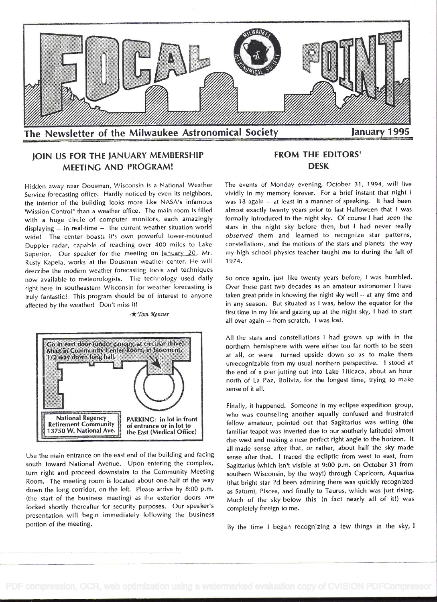

# JOIN US FOR THE JANUARY MEMBERSHIP MEETING AND PROGRAM!

Hidden away near Dousman, Wisconsin is a National Weather Service forecasting office. Hardly noticed by even its neighbors, the interior of the building looks more like NASA's infamous 'Mission Control" than a weather office. The main room is filled with a huge circle of computer monitors, each amazingly displaying -- in real-time -- the current weather situation world wide! The center boasts it's own powerful tower-mounted Doppler radar, capable of reaching over 400 miles to Lake Superior. Our speaker for the meeting on January 20, Mr. Rusty Kapela, works at the Dousman weather center. He will describe the modern weather forecasting tools and techniques now available to meteorologists. The technology used daily right here in southeastern Wisconsin for weather forecasting is truly fantastic! This program should be of interest to anyone affected by the weather! Don't miss it!

 $-\star$  Tom Renner



Use the main entrance on the east end of the building and facing south toward National Avenue. Upon entering the complex, turn right and proceed downstairs to the Community Meeting Room. The meeting room is located about one-half of the way down the long corridor, on the left. Please arrive by 8:00 p.m. (the start of the business meeting) as the exterior doors are locked shortly thereafter for security purposes. Our speaker's presentation will begin immediately following the business portion of the meeting.

# FROM THE EDITORS' DESK

The events of Monday evening, October 31, 1994, will live vividly in my memory forever. For a brief instant that night I was 18 again -- at least in a manner of speaking. It had been almost exactly twenty years prior to last Halloween that I was formally introduced to the night sky. Of course I had seen the stars in the night sky before then, but I had never really observed them and learned to recognize star patterns, constellations, and the motions of the stars and planets the way my high school physics teacher taught me to during the fall of i 974.

So once again, just like twenty years before, I was humbled. Over these past two decades as an amateur astronomer I have taken great pride in knowing the night sky well -- at any time and in any season. But situated as I was, below the equator for the first time in my life and gazing up at the night sky, I had to start all over again -- from scratch. I was lost.

All the stars and constellations I had grown up with in the northern hemisphere with were either too far north to be seen at all, or were turned upside down so as to make them unrecognizable from my usual northern perspective. I stood at the end of a pier jutting out into Lake Titicaca, about an hour north of La Paz, Bolivia, for the longest time, trying to make sense of it all.

Finally, it happened. Someone in my eclipse expedition group, who was counseling another equally confused and frustrated fellow amateur, pointed out that Sagittarius was setting (the familiar teapot was inverted due to our southerly latitude) almost due west and making a near perfect right angle to the horizon. It all made sense after that, or rather, about half the sky made sense after that. I traced the ecliptic from west to east, from Sagittarius (which isn't visible at 9:00 p.m. on October 31 from southern Wisconsin, by the way!) through Capricorn, Aquarius (that bright star I'd been admiring there was quickly recognized as Saturn), Pisces, and finally to Taurus, which was just rising. Much of the sky below this (n fact nearly all of it!) was completely foreign to me.

By the time I began recognizing a few things in the sky, <sup>I</sup>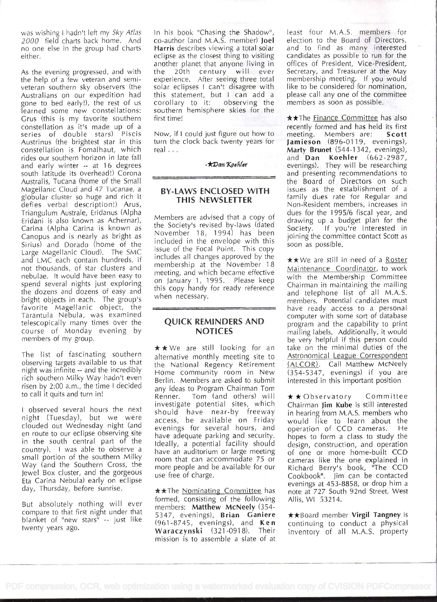was wishing I hadn't left my Sky Atlas 2000 field charts back home. And no one else in the group had charts either.

As the evening progressed, and with the help of a few veteran and semiveteran southern sky observers (the solar eclipses I can't disagree with Australians on our expedition had this statement, but I can add a Australians on our expedition had gone to bed early!), the rest of us learned some new constellations: Grus (this is my favorite southern constellation as it's made up of a series of double stars) Piscis Austrinus (the brightest star in this constellation is Fomaihaut, which rides our southern horizon in late fall and early winter -- at 16 degrees south latitude its overhead!) Corona Australis, Tucana (home of the Small Magelianic Cloud and 47 Tucanae, a globular cluster so huge and rich it defies verbal description!) Arus, Triangulum Australe, Eridanus (Alpha Eridani is also known as Achernar), Carina (Alpha Carina is known as Canopus and is nearly as bright as Sirius) and Dorado (home of the Large Magellanic Cloud). The SMC and LMC each çontain hundreds, if not thousands, of star clusters and nebulae. It would have been easy to spend several nights just exploring the dozens and dozens of easy and bright objects in each. The group's favorite Magellanic object, the Tarantula Nebula, was examined telescopically many times over the course of Monday evening by members of my group.

The list of fascinating southern observing targets available to us that night was infinite -- and the incredibly rich southern Milky Way hadn't even risen by 2:00 a.m., the time I decided to call it quits and turn in!

<sup>I</sup>observed several hours the next night (Tuesday), but we were clouded out Wednesday night (and en route to our eclipse observing site in the south central part of the country). I was able to observe a small portion of the southern Milky Way (and the Southern Cross, the Jewel Box cluster, and the gorgeous Eta Carina Nebula) early on eclipse day, Thursday, before sunrise.

But absolutely nothing will ever compare to that first night under that blanket of "new stars" -- just like twenty years ago.

In his book "Chasing the Shadow", co-author (and M.AS. member) Joel Harris describes viewing a total solar eclipse as the closest thing to visiting another planet that anyone living in the 20th century will ever See experience. After seeing three total me solar eclipses I can't disagree with this statement, but I can add a - pli<br>corollary to it: - observing the - mi southern hemisphere skies for the first time!

Now, if I could just figure out how to turn the clock back twenty years for real  $\ldots$ 

-\*Dan Koehler

### BY-LAWS ENCLOSED WITH THIS NEWSLETTER

Members are advised that a copy o the Society's revised by-laws (dated November 18, 1994) has been included in the envelope with this issue of the Focal Point. This copy includes all changes approved by the membership at the November 18 meeting, and which became effective on January 1, 1995. Please keep this copy handy for ready reference when necessary.

### QUICK REMINDERS AND NOTICES

 $\star \star$  We are still looking for an alternative monthly meeting site to the National Regency Retirement Home community room in New Berlin. Members are asked to submit any ideas to Program Chairman Tom Renner. Tom (and others) will investigate potential sites, which should have near-by freeway access, be available on Friday evenings for several hours, and have adequate parking and security. Ideally, a potential facility should have an auditorium or large meeting room that can accommodate 75 or more people and be available for our use free of charge.

\*\* The Nominating Committee has formed, consisting of the following members: Matthew McNeely (354-5347, evenings), Brian Ganiere (961-8745, evenings), and Ken Waraczynski (321-0918). Their mission is to assemble a slate of at least four M.A.S. members for election to the Board of Directors, and to find as many interested candidates as possible to run for the offices of President, Vice-President, Secretary, and Treasurer at the May membership meeting. If you would like to be considered for nomination, please call any one of the committee members as soon as possible.

\*\*The Finance Committee has also recently formed and has held its first meeting. Members are: Scott Jamieson (896-0119, evenings), Marty Brunet (544-1342, evenings), and Dan Koehier (662-2987, evenings). They will be researching and presenting recommendations to the Board of Directors on such issues as the establishment of a family dues rate for Regular and Non-Resident members, increases in dues for the 1995/6 fiscal year, and drawing up a budget plan for the Society. If you're interested in joining the committee contact Scott as soon as possible.

**\*\*We are still in need of a Roster** Maintenance Coordinator, to work with the Membership Committee Chairman in maintaining the mailing and telephone list of all M.A.S. members. Potential candidates must have ready access to a personal computer with some sort of database program and the capability to print mailing labels. Additionally, it would be very helpful if this person could take on the minimal duties of the Astronomical League Correspondent (ALCOR). Call Matthew McNeely (354-5347, evenings) if you are interested in this important position

 $\star \star$  Observatory Committee Chairman Jim Kube is still interested in hearing from M.A.S. members who would like to learn about the operation of CCD cameras. He hopes to form a class to study the design, construction, and operation of one or more home-built CCD cameras like the one explained in Richard Berry's book, "The CCD Cookbook". Jim can be contacted evenings at 453-8858, or drop him a note at 727 South 92nd Street, West Allis, WI 53214.

\*\*Board member Virgil Tangney is continuing to conduct a physical inventory of all M.A.S. property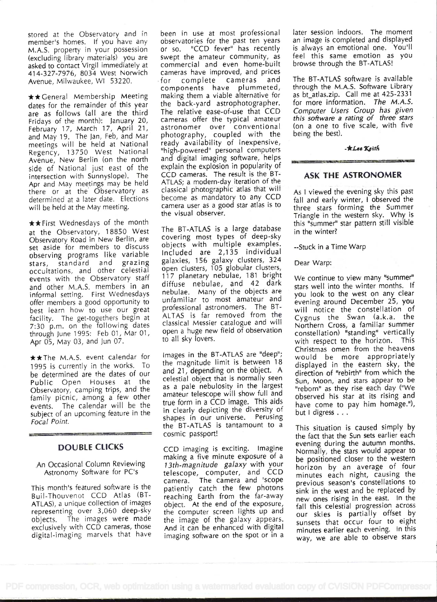stored at the Observatory and in member's homes. If you have any M.A.S. property in your possession (excluding library materials) you are asked to contact Virgil immediately at 414-327-7976, 8034 West Norwich Avenue, Milwaukee, WI 53220.

\*\*General Membership Meeting dates for the remainder of this year are as follows (all are the third Fridays of the month): January 20, February 17, March 17, April 21, astroi and May 19. The Jan, Feb, and Mar meetings will be held at National Regency, 13750 West National Avenue, New Berlin (on the north side of National just east of the intersection with Sunnyslope). The Apr and May meetings may be held there or at the Observatory as determined at a later date. Elections will be held at the May meeting.

 $\star\star$  First Wednesdays of the month at the Observatory, 18850 West Observatory Road in New Berlin, are set aside for members to discuss observing programs like variable stars, standard and grazing occultations, and other celestial events with the Observatory staff and other M.A.S. members in an informal setting. First Wednesdays offer members a good opportunity to best learn how to use our great facility. The get-togethers begin at 7:30 p.m. on the following dates through June 1995: Feb 01, Mar 01, Apr 05, May 03, and Jun 07.

\*\* The M.A.S. event calendar for 1995 is currently in the works. To be determined are the dates of our Public Open Houses at the Observatory, camping trips, and the family picnic, among a few other events. The calendar will be the subject of an upcoming feature in the Focal Point.

## DOUBLE CLICKS

An Occasional Column Reviewing Astronomy Software for PC's

This month's featured software is the Buil-Thouvenot CCD Atlas (BT-ATLAS), a unique collection of images representing over 3,060 deep-sky objects. The images were made exclusively with CCD cameras, those digital-imaging marvels that have been in use at most professional observatories for the past ten years or so. "CCD fever" has recently swept the amateur community, as commercial and even home-built cameras have improved, and prices<br>for complete cameras and complete cameras components have plummeted, making them a viable alternative for the back-yard astrophotographer. The relative ease-of-use that CCD cameras offer the typical amateur astronomer over conventional photography, coupled with the ready availability of inexpensive, "high-powered" personal computers and digital imaging software, helps explain the explosion in popularity of CCD cameras. The result is the BT-ATLAS; a modern-day iteration of the classical photographic atlas that will become as mandatory to any CCD camera user as a good star atlas is to the visual observer.

The BT-ATLAS is a large database covering most types of deep-sky objects with multiple examples. Included are 2,1 35 individual galaxies, 156 galaxy clusters, 324 open clusters, i 05 globular clusters, 117 planetary nebulae, 181 bright diffuse nebulae, and 42 dark nebulae. Many of the objects are unfamiliar to most amateur and professional astronomers. The BT-ALTAS is far removed from the classical Messier catalogue and will open a huge new field of observation to all sky lovers.

Images in the BT-ATLAS are "deep"; the magnitude limit is between 18 and 21, depending on the object. A celestial object that is normally seen as a pale nebulosity in the largest amateur telescope will show full and true form in a CCD image. This aids in clearly depicting the diversity of shapes in our universe. Perusing the BT-ATLAS is tantamount to a cosmic passport!

CCD imaging is exciting. Imagine making a five minute exposure of a 13th-magnitude galaxy with your telescope, computer, and CCD camera. The camera and 'scope patiently catch the few photons reaching Earth from the far-away object. At the end of the exposure, the computer screen lights up and the image of the galaxy appears. And it can be enhanced with digital imaging software on the spot or in <sup>a</sup>

later session indoors. The moment an image is completed and displayed is always an emotional one. You'll feel this same emotion as you browse through the BT-ATLAS!

The BT-ATLAS software is available through the M.A.S. Software Library as bt atlas.zip. Call me at 425-2331 for more information. The M.A.S. Computer Users Group has given this software a rating of three stars (on a one to five scale, with five being the best).

-\*Lee Keith

### ASK THE ASTRONOMER

As I viewed the evening sky this past fall and early winter, I observed the three stars forming the Summer Triangle in the western sky. Why is this "summer" star pattern still visible in the winter?

--Stuck in a Time Warp

Dear Warp:

We continue to yiew many "summer" stars well into the winter months. If you look to the west on any clear evening around December 25, you will notice the constellation of Cygnus the Swan (a.k.a. the Northern Cross, a familiar summer constellation) "standing" vertically with respect to the horizon. This Christmas omen from the heavens would be more appropriately displayed in the eastern sky, the direction of "rebirth" from which the Sun, Moon, and stars appear to be 'reborn" as they rise each day ("We observed his star at its rising and have come to pay him homage."), but I digress . . .

This situation is caused simply by the fact that the Sun sets earlier each evening during the autumn months. Normally, the stars would appear to be positioned closer to the western horizon by an average of four minutes each night, causing the previous season's constellations to sink in the west and be replaced by new ones rising in the east. In the fall this celestial progression across our skies is partially offset by sunsets that occur four to eight minutes earlier each evening. In this way, we are able to observe stars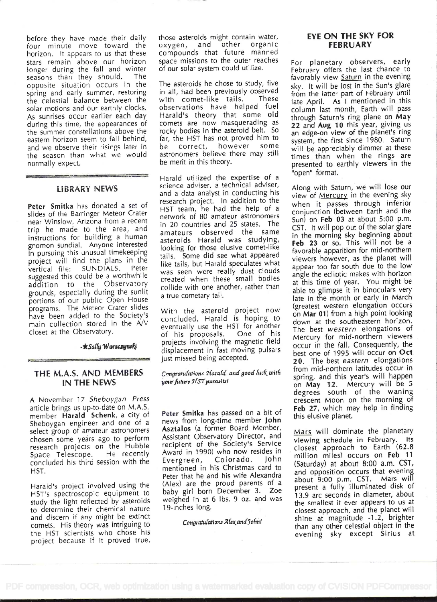before they have made their daily four minute move toward the horizon. lt appears to us that these stars remain above our horizon longer during the fall and winter seasons than they should. The opposite situation occurs in the spring and early summer, restoring the celestial balance between the solar motions and our earthly clocks. As sunrises occur earlier each day during this time, the appearances of the summer constellations above the eastern horizon seem to fall behind, far,<br>and we observe their risings later in be and we observe their risings later in the season than what we would normally expect.

## LiBRARY NEWS

Peter Smitka has donated a set of slides of the Barringer Meteor Crater near Winslow, Arizona from a recent trip he made to the area, and instructions for building a human gnomon sundial. Anyone interested in pursuing this unusual timekeeping project will find the plans in the<br>vertical file: SUNDIALS. Peter vertical file: SUNDIALS. suggested this could be a worthwhile addition to the Observatory grounds, especially during the sunlit portions of our public Open House programs. The Meteor Crater slides have been added to the Society's main collection stored in the  $A\dot{}/V$ closet at the Observatory.

- \* Sally Waraczynski

### THE M.A.S. AND MEMBERS IN THE NEWS

A November 17 Sheboygan Press article brings us up-to-date on M.A.S. member Harald Schenk, a city of Sheboygan engineer and one of a select group of amateur astronomers chosen some years ago to perform research projects on the Hubble<br>Space Telescope. He recently Space Telescope. concluded his third session with the HST.

Harald's project involved using the HST's spectroscopic equipment to study the light reflected by asteroids to determine their chemical nature and discern if any might be extinct comets. His theory was intriguing to the HST scientists who chose his project because if it proved true, those asteroids might contain water, oxygen, and other organic compounds that future manned space missions to the outer reaches of our solar system could utilize.

The asteroids he chose to study, five in all, had been previously observed<br>with comet-like tails. These with comet-like tails. observations have helped fuel Harald's theory that some old comets are now masquerading as rocky bodies in the asteroid belt. So a far, the HST has not proved him to<br>he correct, however some correct, however astronomers believe there may still be merit in this theory.

Harald utilized the expertise of a science adviser, a technical adviser, and a data analyst in conducting his research project. In addition to the HST team, he had the help of a network of 80 amateur astronomers  $\frac{1}{5}$ in 20 countries and 25 states. The amateurs observed the same asteroids Harald was studying, looking for those elusive comet-like tails. Some did see what appeared like tails, but Harald speculates what was seen were really dust clouds created when these small bodies collide with one another, rather than a true cometary tail.

With the asteroid project now  $^{8}$ concluded, Harald is hoping to  $\frac{d}{dr}$ eventually use the HST for another of his proposals. One of his projects involving the magnetic field displacement in fast moving pulsars just missed being accepted.

#### Congratulations Harald, and good luck with ourfuture 2ST pursuits!

Peter Smitka has passed on a bit of news from long-time member John Asztalos (a former Board Member, Assistant Observatory Director, and recipient of the Society's Service Award in 1990) who now resides in<br>Evergreen. Colorado. John Evergreen, mentioned in his Christmas card to Peter that he and his wife Alexandra (Alex) are the proud parents of a baby girl born December 3. Zoe weighed in at 6 lbs. 9 oz. and was 19-inches long.

Congratulations Alex and John!

#### EYE ON THE SKY FOR FEBRUARY

For planetary observers, early February offers the last chance to favorably view Saturn in the evening sky. lt will be lost in the Sun's glare from the latter part of February until late April. As I mentioned in this column last month, Earth will pass through Saturn's ring plane on May 22 and Aug 10 this year, giving us an edge-on view of the planet's ring system, the first since 1980. Saturn will be appreciably dimmer at these times than when the rings are presented to earthly viewers in the "open" format.

Along with Saturn, we will lose our view of Mercury in the evening sky when it passes through inferior conjunction (between Earth and the Sun) on Feb 03 at about 5:00 p.m. CST. It will pop Out of the solar glare in the morning sky beginning about Feb 23 or so. This will not be a favorable apparition for mid-northern viewers however, as the planet will appear too far south due to the low angle the ecliptic makes with horizon at this time of year. You might be able to glimpse it in binoculars very late in the month or early in March (greatest western elongation occurs on Mar 01) from a high point looking down at the southeastern horizon. The best *western* elongations of Mercury for mid-northern viewers occur in the fall. Consequently, the best one of 1995 will occur on Oct 20. The best eastern elongations from mid-northern latitudes occur in spring, and this year's will happen on May 12. Mercury will be <sup>5</sup> degrees south of the waning crescent Moon on the morning of Feb 27, which may help in finding this elusive planet.

Mars will dominate the planetary viewing schedule in February. Its closest approach to Earth (62.8 million miles) occurs on Feb 11 (Saturday) at about 8:00 a.m. CST, and opposition occurs that evening about 9:00 p.m. CST. Mars will present a fully illuminated disk of 13.9 arc seconds in diameter, about the smallest it ever appears to us at closest approach, and the planet will shine at magnitude -1 .2, brighter than any other celestial object in the evening sky except Sirius at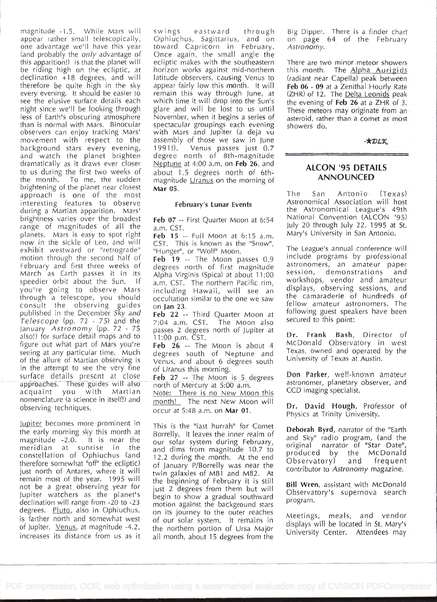magnitude -1.5. While Mars will appear rather small telescopically, one advantage we'll have this year (and probably the only advantage of this apparition!) is that the planet will be riding high on the ecliptic, at declination  $+18$  degrees, and will therefore be quite high in the sky every evening. It should be easier to see the elusive surface details each night since we'll be looking through less of Earth's obscuring atmosphere than is normal with Mars. Binocular observers can enjoy tracking Mars' movement with respect to the background stars every evening, and watch the planet brighten dramatically as it draws ever closer to us during the first two weeks of the month. To me, the sudden brightening of the planet near closest approach is one of the most interesting features to observe during a Martian apparition. Mars' brightness varies over the broadest range of magnitudes of all the planets. Mars is easy to spot right now in the sickle of Leo, and will exhibit westward or "retrograde" motion through the second half of February and first three weeks of March as Earth passes it in its speedier orbit about the Sun. If you're going to observe Mars through a telescope, you should consult the observing guides published in the December Sky and Telescope (pp. 72 - 75) and the January Astronomy (pp. 72 - 75 also!) for surface detail maps and to figure out what part of Mars you're seeing at any particular time. Much of the allure of Martian observing is in the attempt to see the very fine surface details present at close approaches. These guides will also acquaint you with Martian nomenclature (a science in itself!) and observing techniques.

lupiter becomes more prominent in the early morning sky this month at magnitude -2.0. It is near the meridian at sunrise in the constellation of Ophiuchus (and therefore somewhat "off" the ecliptic) just north of Antares, where it will remain most of the year. 1995 will not be a great observing year for Jupiter watchers as the planet's declination will range from -20 to -23 degrees. Pluto, also in Ophiuchus, is farther north and somewhat west of Jupiter. Venus, at magnitude -4.2, increases its distance from us as it

swings eastward through Ophiuchus, Sagittarius, and on toward Capricorn in February. Once again, the small angle the ecliptic makes with the southeastern horizon works against mid-northern latitude observers, causing Venus to appear fairly low this month. lt will remain this way through June, at which time it will drop into the Sun's glare and will be lost to us until November, when it begins a series of spectacular groupings each evening with Mars and Jupiter (a deja vu assembly of those we saw in June 1991!). Venus passes just 0.7 degree north of 8th-magnitude Neptune at 4:00 a.m. on Feb 26, and about 1.5 degrees north of 6thmagnitude Uranus on the morning of Mar 05.

#### February's Lunar Events

Feb 07 -- First Quarter Moon at 6:54 a.m. CST.

Feb 15 -- Full Moon at 6:15 a.m. CST. This is known as the "Snow", "Hunger", or "Wolf" Moon.

Feb 19 -- The Moon passes 0.9 degrees north of first magnitude Alpha Virginis (Spica) at about 11:00 a.m. CST. The northern Pacific rim, including Hawaii, will see an occultation similar to the one we saw on Jan 23.

Feb 22 -- Third Quarter Moon at 7:04 a.m. CST. The Moon also passes 2 degrees north of Jupiter at 11:00 p.m. CST.

Feb 26 -- The Moon is about 4 degrees south of Neptune and Venus, and about 6 degrees south of Uranus this morning.

Feb  $27$  -- The Moon is 5 degrees north of Mercury at 5:00 a.m.

Note: There is no New Moon this month! The next New Moon will occur at 5:48 a.m. on Mar 01.

This is the "last hurrah" for Comet Borrelly. lt leaves the inner realm of our solar system during February, and dims from magnitude 10.7 to <sup>1</sup>2.2 during the month. At the end of January P/Borrelly was near the twin galaxies of M81 and M82. At the beginning of February it is still just 2 degrees from them but will begin to show .a gradual southward motion against the background stars on its journey to the outer reaches of our solar system. lt remains in the northern portion of Ursa Major all month, about 15 degrees from the

Big Dipper. There is a finder chart on page 64 of the February Astronomy.

There are two minor meteor showers this month. The Alpha Aurigids (radiant near Capella) peak between Feb 06 - 09 at a Zenithal Hourly Rate (ZHR) of 12. The Delta Leonids peak the evening of Feb 26 at a ZHR of 3. These meteors may originate from an asteroid, rather than a comet as most showers do.

 $-$ \*DL $K$ 

### ALCON '95 DETAILS ANNOUNCED

The San Antonio (Texas) Astronomical Association will host the Astronomical League's 49th National Convention (ALCON '95) July 20 through July 22, 1 995 at St. Mary's University in San Antonio.

The League's annual conference will include programs by professional astronomers, an amateur paper session, demonstrations and workshops, vendor and amateur displays, observing sessions, and the camaraderie of hundreds of fellow amateur astronomers. The following guest speakers have been secured to this point:

Dr. Frank Bash, Director of McDonald Observatory in west Texas, owned and operated by the University of Texas at Austin.

Don Parker, well-known amateur astronomer, planetary observer, and CCD imaging specialist.

Dr. David Hough, Professor of Physics at Trinity University.

Deborah Byrd, narrator of the "Earth and Sky" radio program, (and the original narrator of "Star Date", produced by the McDonald Observatory) and frequent contributor to Astronomy magazine.

Bill Wren, assistant with McDonald Observatory's supernova search program.

Meetings, meals, and vendor displays will be located in St. Mary's University Center. Attendees may